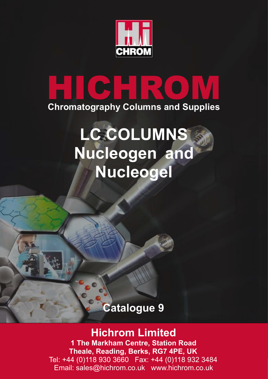

# **HICHROM Chromatography Columns and Supplies**

# **LC COLUMNS Nucleogen and Nucleogel**

# **Catalogue 9**

# **Hichrom Limited**

**1 The Markham Centre, Station Road Theale, Reading, Berks, RG7 4PE, UK** Tel: +44 (0)118 930 3660 Fax: +44 (0)118 932 3484 Email: sales@hichrom.co.uk www.hichrom.co.uk